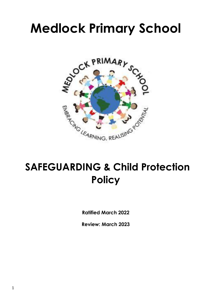# **Medlock Primary School**



## **SAFEGUARDING & Child Protection Policy**

**Ratified March 2022**

**Review: March 2023**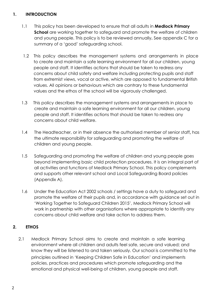### **1. INTRODUCTION**

- 1.1 This policy has been developed to ensure that all adults in **Medlock Primary School** are working together to safeguard and promote the welfare of children and young people. This policy is to be reviewed annually**.** See appendix C for a summary of a 'good' safeguarding school.
- 1.2 This policy describes the management systems and arrangements in place to create and maintain a safe learning environment for all our children, young people and staff. It identifies actions that should be taken to redress any concerns about child safety and welfare including protecting pupils and staff from extremist views, vocal or active, which are opposed to fundamental British values. All opinions or behaviours which are contrary to these fundamental values and the ethos of the school will be vigorously challenged.
- 1.3 This policy describes the management systems and arrangements in place to create and maintain a safe learning environment for all our children, young people and staff. It identifies actions that should be taken to redress any concerns about child welfare.
- 1.4 The Headteacher, or in their absence the authorised member of senior staff**,** has the ultimate responsibility for safeguarding and promoting the welfare of children and young people.
- 1.5 Safeguarding and promoting the welfare of children and young people goes beyond implementing basic child protection procedures. It is an integral part of all activities and functions of Medlock Primary School. This policy complements and supports other relevant school and Local Safeguarding Board policies (Appendix A).
- 1.6 Under the Education Act 2002 schools / settings have a duty to safeguard and promote the welfare of their pupils and, in accordance with guidance set out in 'Working Together to Safeguard Children 2015', Medlock Primary School will work in partnership with other organisations where appropriate to identify any concerns about child welfare and take action to address them.

## **2. ETHOS**

2.1 Medlock Primary School aims to create and maintain a safe learning environment where all children and adults feel safe, secure and valued; and know they will be listened to and taken seriously. Our school is committed to the principles outlined in 'Keeping Children Safe in Education' and implements policies, practices and procedures which promote safeguarding and the emotional and physical well-being of children, young people and staff.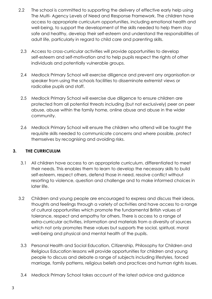- 2.2 The school is committed to supporting the delivery of effective early help using The Multi- Agency Levels of Need and Response Framework. The children have access to appropriate curriculum opportunities, including emotional health and well-being, to support the development of the skills needed to help them stay safe and healthy, develop their self-esteem and understand the responsibilities of adult life, particularly in regard to child care and parenting skills.
	- 2.3 Access to cross-curricular activities will provide opportunities to develop self-esteem and self-motivation and to help pupils respect the rights of other individuals and potentially vulnerable groups.
- 2.4 Medlock Primary School will exercise diligence and prevent any organisation or speaker from using the schools facilities to disseminate extremist views or radicalise pupils and staff.
- 2.5 Medlock Primary School will exercise due diligence to ensure children are protected from all potential threats including (but not exclusively) peer on peer abuse, abuse within the family home, online abuse and abuse in the wider community.
- 2.6 Medlock Primary School will ensure the children who attend will be taught the requisite skills needed to communicate concerns and where possible, protect themselves by recognising and avoiding risks.

## **3. THE CURRICULUM**

- 3.1 All children have access to an appropriate curriculum, differentiated to meet their needs. This enables them to learn to develop the necessary skills to build self-esteem, respect others, defend those in need, resolve conflict without resorting to violence, question and challenge and to make informed choices in later life.
- 3.2 Children and young people are encouraged to express and discuss their ideas, thoughts and feelings through a variety of activities and have access to a range of cultural opportunities which promote the fundamental British values of tolerance, respect and empathy for others. There is access to a range of extra-curricular activities, information and materials from a diversity of sources which not only promotes these values but supports the social, spiritual, moral well-being and physical and mental health of the pupils.
- 3.3 Personal Health and Social Education, Citizenship, Philosophy for Children and Religious Education lessons will provide opportunities for children and young people to discuss and debate a range of subjects including lifestyles, forced marriage, family patterns, religious beliefs and practices and human rights issues.
- 3.4 Medlock Primary School takes account of the latest advice and guidance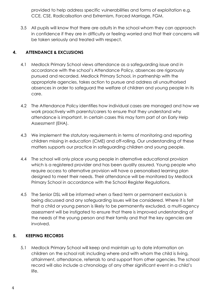provided to help address specific vulnerabilities and forms of exploitation e.g. CCE, CSE, Radicalisation and Extremism, Forced Marriage, FGM.

3.5 All pupils will know that there are adults in the school whom they can approach in confidence if they are in difficulty or feeling worried and that their concerns will be taken seriously and treated with respect.

## **4. ATTENDANCE & EXCLUSIONS**

- 4.1 Medlock Primary School views attendance as a safeguarding issue and in accordance with the school's Attendance Policy, absences are rigorously pursued and recorded. Medlock Primary School, in partnership with the appropriate agencies, takes action to pursue and address all unauthorised absences in order to safeguard the welfare of children and young people in its care.
- 4.2 The Attendance Policy identifies how individual cases are managed and how we work proactively with parents/carers to ensure that they understand why attendance is important. In certain cases this may form part of an Early Help Assessment (EHA).
- 4.3 We implement the statutory requirements in terms of monitoring and reporting children missing in education (CME) and off-rolling. Our understanding of these matters supports our practice in safeguarding children and young people.
- 4.4 The school will only place young people in alternative educational provision which is a registered provider and has been quality assured. Young people who require access to alternative provision will have a personalised learning plan designed to meet their needs. Their attendance will be monitored by Medlock Primary School in accordance with the School Register Regulations.
- 4.5 The Senior DSL will be informed when a fixed term or permanent exclusion is being discussed and any safeguarding issues will be considered. Where it is felt that a child or young person is likely to be permanently excluded, a multi-agency assessment will be instigated to ensure that there is improved understanding of the needs of the young person and their family and that the key agencies are involved.

## **5. KEEPING RECORDS**

5.1 Medlock Primary School will keep and maintain up to date information on children on the school roll; including where and with whom the child is living, attainment, attendance, referrals to and support from other agencies. The school record will also include a chronology of any other significant event in a child's life.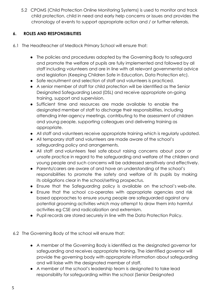5.2 CPOMS (Child Protection Online Monitoring Systems) is used to monitor and track child protection, child in need and early help concerns or issues and provides the chronology of events to support appropriate action and / or further referrals.

## **6. ROLES AND RESPONSIBILITIES**

- 6.1 The Headteacher of Medlock Primary School will ensure that:
	- The policies and procedures adopted by the Governing Body to safeguard and promote the welfare of pupils are fully implemented and followed by all staff including volunteers and are in line with all relevant governmental advice and legislation (Keeping Children Safe in Education, Data Protection etc).
	- Safe recruitment and selection of staff and volunteers is practiced.
	- A senior member of staff for child protection will be identified as the Senior Designated Safeguarding Lead (DSL) and receive appropriate on-going training, support and supervision.
	- Sufficient time and resources are made available to enable the designated member of staff to discharge their responsibilities, including attending inter-agency meetings, contributing to the assessment of children and young people, supporting colleagues and delivering training as appropriate.
	- All staff and volunteers receive appropriate training which is regularly updated.
	- All temporary staff and volunteers are made aware of the school's safeguarding policy and arrangements.
	- All staff and volunteers feel safe about raising concerns about poor or unsafe practice in regard to the safeguarding and welfare of the children and young people and such concerns will be addressed sensitively and effectively.
	- Parents/carers are aware of and have an understanding of the school's responsibilities to promote the safety and welfare of its pupils by making its obligations clear in the school/setting prospectus.
	- Ensure that the Safeguarding policy is available on the school's web-site.
	- Ensure that the school co-operates with appropriate agencies and risk based approaches to ensure young people are safeguarded against any potential grooming activities which may attempt to draw them into harmful activities eg CSE and radicalization and extremism.
	- Pupil records are stored securely in line with the Data Protection Policy.

#### 6.2 The Governing Body of the school will ensure that:

- A member of the Governing Body is identified as the designated governor for safeguarding and receives appropriate training. The identified governor will provide the governing body with appropriate information about safeguarding and will liaise with the designated member of staff.
- A member of the school's leadership team is designated to take lead responsibility for safeguarding within the school (Senior Designated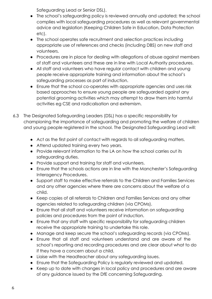Safeguarding Lead or Senior DSL).

- The school's safeguarding policy is reviewed annually and updated; the school complies with local safeguarding procedures as well as relevant governmental advice and legislation (Keeping Children Safe in Education, Data Protection etc).
- The school operates safe recruitment and selection practices including appropriate use of references and checks (including DBS) on new staff and volunteers.
- Procedures are in place for dealing with allegations of abuse against members of staff and volunteers and these are in line with Local Authority procedures.
- All staff and volunteers who have regular contact with children and young people receive appropriate training and information about the school's safeguarding processes as part of induction.
- Ensure that the school co-operates with appropriate agencies and uses risk based approaches to ensure young people are safeguarded against any potential grooming activities which may attempt to draw them into harmful activities eg CSE and radicalisation and extremism.
- 6.3 The Designated Safeguarding Leaders (DSL) has a specific responsibility for championing the importance of safeguarding and promoting the welfare of children and young people registered in the school. The Designated Safeguarding Lead will:
	- Act as the first point of contact with regards to all safeguarding matters.
	- Attend updated training every two years.
	- Provide relevant information to the LA on how the school carries out its safeguarding duties.
	- Provide support and training for staff and volunteers.
	- Ensure that the schools actions are in line with the Manchester's Safeguarding Interagency Procedures.
	- Support staff to make effective referrals to the Children and Families Services and any other agencies where there are concerns about the welfare of a child.
	- Keep copies of all referrals to Children and Families Services and any other agencies related to safeguarding children (via CPOMs).
	- Ensure that all staff and volunteers receive information on safeguarding policies and procedures from the point of induction.
	- Ensure that any staff with specific responsibility for safeguarding children receive the appropriate training to undertake this role.
	- Manage and keep secure the school's safeguarding records (via CPOMs).
	- Ensure that all staff and volunteers understand and are aware of the school's reporting and recording procedures and are clear about what to do if they have a concern about a child.
	- Liaise with the Headteacher about any safeguarding issues.
	- Ensure that the Safeguarding Policy is regularly reviewed and updated.
	- Keep up to date with changes in local policy and procedures and are aware of any guidance issued by the DfE concerning Safeguarding.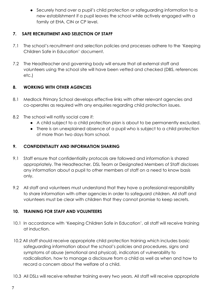● Securely hand over a pupil's child protection or safeguarding information to a new establishment if a pupil leaves the school while actively engaged with a family at EHA, CIN or CP level.

## **7. SAFE RECRUITMENT AND SELECTION OF STAFF**

- 7.1 The school's recruitment and selection policies and processes adhere to the 'Keeping Children Safe in Education' document.
- 7.2 The Headteacher and governing body will ensure that all external staff and volunteers using the school site will have been vetted and checked (DBS, references etc.)

## **8. WORKING WITH OTHER AGENCIES**

- 8.1 Medlock Primary School develops effective links with other relevant agencies and co-operates as required with any enquiries regarding child protection issues.
- 8.2 The school will notify social care if:
	- A child subject to a child protection plan is about to be permanently excluded.
	- There is an unexplained absence of a pupil who is subject to a child protection of more than two days from school.

## **9. CONFIDENTIALITY AND INFORMATION SHARING**

- 9.1 Staff ensure that confidentiality protocols are followed and information is shared appropriately. The Headteacher, DSL Team or Designated Members of Staff discloses any information about a pupil to other members of staff on a need to know basis only.
- 9.2 All staff and volunteers must understand that they have a professional responsibility to share information with other agencies in order to safeguard children. All staff and volunteers must be clear with children that they cannot promise to keep secrets.

## **10. TRAINING FOR STAFF AND VOLUNTEERS**

- 10.1 In accordance with 'Keeping Children Safe in Education', all staff will receive training at induction.
- 10.2 All staff should receive appropriate child protection training which includes basic safeguarding information about the school's policies and procedures, signs and symptoms of abuse (emotional and physical), indicators of vulnerability to radicalisation, how to manage a disclosure from a child as well as when and how to record a concern about the welfare of a child.
- 10.3 All DSLs will receive refresher training every two years. All staff will receive appropriate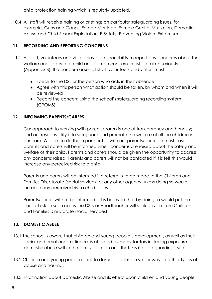child protection training which is regularly updated.

10.4 All staff will receive training or briefings on particular safeguarding issues, for example, Guns and Gangs, Forced Marriage, Female Genital Mutilation, Domestic Abuse and Child Sexual Exploitation, E-Safety, Preventing Violent Extremism.

## **11. RECORDING AND REPORTING CONCERNS**

- 11.1 All staff, volunteers and visitors have a responsibility to report any concerns about the welfare and safety of a child and all such concerns must be taken seriously (Appendix B). If a concern arises all staff, volunteers and visitors must:
	- Speak to the DSL or the person who acts in their absence
	- Agree with this person what action should be taken, by whom and when it will be reviewed
	- Record the concern using the school's safeguarding recording system (CPOMS)

## **12. INFORMING PARENTS/CARERS**

Our approach to working with parents/carers is one of transparency and honesty; and our responsibility is to safeguard and promote the welfare of all the children in our care. We aim to do this in partnership with our parents/carers. In most cases parents and carers will be informed when concerns are raised about the safety and welfare of their child. Parents and carers should be given the opportunity to address any concerns raised. Parents and carers will not be contacted if it is felt this would increase any perceived risk to a child.

Parents and carers will be informed if a referral is to be made to the Children and Families Directorate (social services) or any other agency unless doing so would increase any perceived risk a child faces.

Parents/carers will not be informed if it is believed that by doing so would put the child at risk. In such cases the DSLs or Headteacher will seek advice from Children and Families Directorate (social services).

## **13. DOMESTIC ABUSE**

- 13.1 The school is aware that children and young people's development, as well as their social and emotional resilience, is affected by many factors including exposure to domestic abuse within the family situation and that this is a safeguarding issue.
- 13.2 Children and young people react to domestic abuse in similar ways to other types of abuse and trauma.
- 13.3. Information about Domestic Abuse and its effect upon children and young people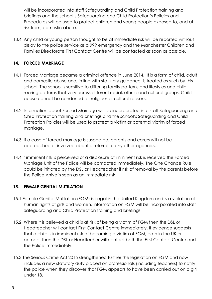will be incorporated into staff Safeguarding and Child Protection training and briefings and the school's Safeguarding and Child Protection's Policies and Procedures will be used to protect children and young people exposed to, and at risk from, domestic abuse.

13.4 Any child or young person thought to be at immediate risk will be reported without delay to the police service as a 999 emergency and the Manchester Children and Families Directorate First Contact Centre will be contacted as soon as possible.

## **14. FORCED MARRIAGE**

- 14.1 Forced Marriage became a criminal offence in June 2014. It is a form of child, adult and domestic abuse and, in line with statutory guidance, is treated as such by this school. The school is sensitive to differing family patterns and lifestyles and childrearing patterns that vary across different racial, ethnic and cultural groups. Child abuse cannot be condoned for religious or cultural reasons.
- 14.2 Information about Forced Marriage will be incorporated into staff Safeguarding and Child Protection training and briefings and the school's Safeguarding and Child Protection Policies will be used to protect a victim or potential victim of forced marriage.
- 14.3 If a case of forced marriage is suspected, parents and carers will not be approached or involved about a referral to any other agencies.
- 14.4 If imminent risk is perceived or a disclosure of imminent risk is received the Forced Marriage Unit of the Police will be contacted immediately. The One Chance Rule could be initiated by the DSL or Headteacher if risk of removal by the parents before the Police Arrive is seen as an immediate risk.

## **15. FEMALE GENITAL MUTILATION**

- 15.1 Female Genital Mutilation (FGM) is illegal in the United Kingdom and is a violation of human rights of girls and women. Information on FGM will be incorporated into staff Safeguarding and Child Protection training and briefings.
- 15.2 Where it is believed a child is at risk of being a victim of FGM then the DSL or Headteacher will contact First Contact Centre immediately. If evidence suggests that a child is in imminent risk of becoming a victim of FGM, both in the UK or abroad, then the DSL or Headtecher will contact both the First Contact Centre and the Police immediately.
- 15.3 [The Serious Crime Act 2015](https://www.gov.uk/government/uploads/system/uploads/attachment_data/file/416323/Fact_sheet_-_FGM_-_Act.pdf) strengthened further the legislation on FGM and now includes a new statutory duty placed on professionals (including teachers) to notify the police when they discover that FGM appears to have been carried out on a girl under 18.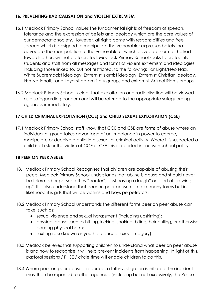## **16. PREVENTING RADICALISATION and VIOLENT EXTREMISM**

- 16.1 Medlock Primary School values the fundamental rights of freedom of speech, tolerance and the expression of beliefs and ideology which are the core values of our democratic society. However, all rights come with responsibilities and free speech which is designed to manipulate the vulnerable; expresses beliefs that advocate the manipulation of the vulnerable or which advocate harm or hatred towards others will not be tolerated. Medlock Primary School seeks to protect its students and staff from all messages and forms of violent extremism and ideologies including those linked to, but not restricted, to the following: Far Right/Neo Nazi, White Supremacist ideology, Extremist Islamist ideology, Extremist Christian ideology, Irish Nationalist and Loyalist paramilitary groups and extremist Animal Rights groups.
- 16.2 Medlock Primary School is clear that exploitation and radicalisation will be viewed as a safeguarding concern and will be referred to the appropriate safeguarding agencies immediately.

## **17 CHILD CRIMINAL EXPLOITATION (CCE) and CHILD SEXUAL EXPLOITATION (CSE)**

17.1 Medlock Primary School staff know that CCE and CSE are forms of abuse where an individual or group takes advantage of an imbalance in power to coerce, manipulate or deceive a child into sexual or criminal activity. Where it is suspected a child is at risk or the victim of CCE or CSE this is reported in line with school policy.

## **18 PEER ON PEER ABUSE**

- 18.1 Medlock Primary School Recognises that children are capable of abusing their peers. Medlock Primary School understands that abuse is abuse and should never be tolerated or passed off as "banter", "just having a laugh" or "part of growing up". It is also understood that peer on peer abuse can take many forms but in likelihood it is girls that will be victims and boys perpetrators.
- 18.2 Medlock Primary School understands the different forms peer on peer abuse can take, such as:
	- sexual violence and sexual harassment (including upskirting):
	- physical abuse such as hitting, kicking, shaking, biting, hair pulling, or otherwise causing physical harm:
	- sexting (also known as youth produced sexual imagery).
- 18.3 Medlock believes that supporting children to understand what peer on peer abuse is and how to recognise it will help prevent incidents from happening. In light of this, pastoral sessions / PHSE / circle time will enable children to do this.
- 18.4 Where peer on peer abuse is reported, a full investigation is initiated. The incident may then be reported to other agencies (including but not exclusively, the Police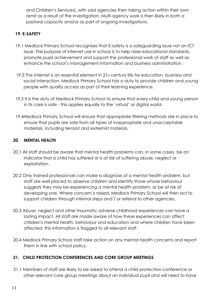and Children's Services), with said agencies then taking action within their own remit as a result of the investigation. Multi-agency work is then likely in both a pastoral capacity and/or as part of ongoing investigations.

## **19. E-SAFETY**

- 19.1 Medlock Primary School recognises that E-safety is a safeguarding issue not an ICT issue. The purpose of internet use in school is to help raise educational standards, promote pupil achievement and support the professional work of staff as well as enhance the school's management information and business administration.
- 19.2 The internet is an essential element in 21st century life for education, business and social interaction: Medlock Primary School has a duty to provide children and young people with quality access as part of their learning experience.
- 19.3 It is the duty of Medlock Primary School to ensure that every child and young person in its care is safe - this applies equally to the 'virtual' or digital world.
- 19.4Medlock Primary School will ensure that appropriate filtering methods are in place to ensure that pupils are safe from all types of inappropriate and unacceptable materials, including terrorist and extremist material.

## **20**. **MENTAL HEALTH**

- 20.1 All staff should be aware that mental health problems can, in some cases, be an indicator that a child has suffered or is at risk of suffering abuse, neglect or exploitation.
- 20.2 Only trained professionals can make a diagnosis of a mental health problem, but staff are well placed to observe children and identify those whose behaviour suggests they may be experiencing a mental health problem, or be at risk of developing one. Where concern is raised, Medlock Primary School will then act to support children through internal steps and / or referral to other agencies.
- 20.3 Abuse, neglect and other traumatic adverse childhood experiences can have a lasting impact. All staff are made aware of how these experiences can affect children's mental health, behaviour and education and where children have been affected, this information is flagged to all relevant staff.
- 20.4 Medlock Primary School staff take action on any mental health concerns and report them in line with school policy.

## **21. CHILD PROTECTION CONFERENCES AND CORE GROUP MEETINGS**

21.1 Members of staff are likely to be asked to attend a child protection conference or other relevant core group meetings about an individual pupil and will need to have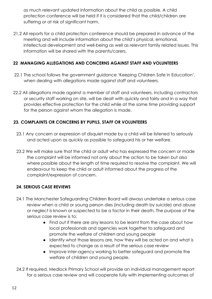as much relevant updated information about the child as possible. A child protection conference will be held if it is considered that the child/children are suffering or at risk of significant harm.

21.2 All reports for a child protection conference should be prepared in advance of the meeting and will include information about the child's physical, emotional, intellectual development and well-being as well as relevant family related issues. This information will be shared with the parents/carers.

## **22 MANAGING ALLEGATIONS AND CONCERNS AGAINST STAFF AND VOLUNTEERS**

- 22.1 The school follows the government guidance 'Keeping Children Safe in Education', when dealing with allegations made against staff and volunteers.
- 22.2 All allegations made against a member of staff and volunteers, including contractors or security staff working on site, will be dealt with quickly and fairly and in a way that provides effective protection for the child while at the same time providing support for the person against whom the allegation is made.

## **23. COMPLAINTS OR CONCERNS BY PUPILS, STAFF OR VOLUNTEERS**

- 23.1 Any concern or expression of disquiet made by a child will be listened to seriously and acted upon as quickly as possible to safeguard his or her welfare.
- 23.2 We will make sure that the child or adult who has expressed the concern or made the complaint will be informed not only about the action to be taken but also where possible about the length of time required to resolve the complaint. We will endeavour to keep the child or adult informed about the progress of the complaint/expression of concern.

## **24. SERIOUS CASE REVIEWS**

- 24.1 The Manchester Safeguarding Children Board will always undertake a serious case review when a child or young person dies (including death by suicide) and abuse or neglect is known or suspected to be a factor in their death. The purpose of the serious case review is to;
	- Find out if there are any lessons to be learnt from the case about how local professionals and agencies work together to safeguard and promote the welfare of children and young people
	- Identify what those lessons are, how they will be acted on and what is expected to change as a result of the serious case review
	- Improve inter-agency working to better safeguard and promote the welfare of children and young people.
- 24.2 If required, Medlock Primary School will provide an individual management report for a serious case review and will cooperate fully with implementing outcomes of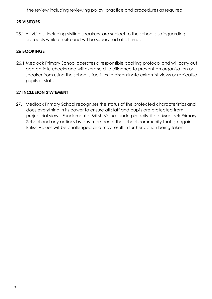the review including reviewing policy, practice and procedures as required.

## **25 VISITORS**

25.1 All visitors, including visiting speakers, are subject to the school's safeguarding protocols while on site and will be supervised at all times.

## **26 BOOKINGS**

26.1 Medlock Primary School operates a responsible booking protocol and will carry out appropriate checks and will exercise due diligence to prevent an organisation or speaker from using the school's facilities to disseminate extremist views or radicalise pupils or staff.

## **27 INCLUSION STATEMENT**

27.1 Medlock Primary School recognises the status of the protected characteristics and does everything in its power to ensure all staff and pupils are protected from prejudicial views. Fundamental British Values underpin daily life at Medlock Primary School and any actions by any member of the school community that go against British Values will be challenged and may result in further action being taken.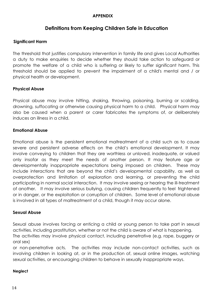#### **APPENDIX**

## **Definitions from Keeping Children Safe in Education**

#### **Significant Harm**

The threshold that justifies compulsory intervention in family life and gives Local Authorities a duty to make enquiries to decide whether they should take action to safeguard or promote the welfare of a child who is suffering or likely to suffer significant harm. This threshold should be applied to prevent the impairment of a child's mental and / or physical health or development.

#### **Physical Abuse**

Physical abuse may involve hitting, shaking, throwing, poisoning, burning or scalding, drowning, suffocating or otherwise causing physical harm to a child. Physical harm may also be caused when a parent or carer fabricates the symptoms of, or deliberately induces an illness in a child.

#### **Emotional Abuse**

Emotional abuse is the persistent emotional maltreatment of a child such as to cause severe and persistent adverse effects on the child's emotional development. It may involve conveying to children that they are worthless or unloved, inadequate, or valued only insofar as they meet the needs of another person. It may feature age or developmentally inappropriate expectations being imposed on children. These may include interactions that are beyond the child's developmental capability, as well as overprotection and limitation of exploration and learning, or preventing the child participating in normal social interaction. It may involve seeing or hearing the ill-treatment of another. It may involve serious bullying, causing children frequently to feel frightened or in danger, or the exploitation or corruption of children. Some level of emotional abuse is involved in all types of maltreatment of a child, though it may occur alone.

#### **Sexual Abuse**

Sexual abuse involves forcing or enticing a child or young person to take part in sexual activities, including prostitution, whether or not the child is aware of what is happening.

The activities may involve physical contact, including penetrative (e.g. rape, buggery or oral sex)

or non-penetrative acts. The activities may include non-contact activities, such as involving children in looking at, or in the production of, sexual online images, watching sexual activities, or encouraging children to behave in sexually inappropriate ways.

#### **Neglect**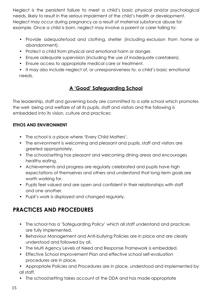Neglect is the persistent failure to meet a child's basic physical and/or psychological needs, likely to result in the serious impairment of the child's health or development. Neglect may occur during pregnancy as a result of maternal substance abuse for example. Once a child is born, neglect may involve a parent or carer failing to:

- Provide adequatefood and clothing, shelter (including exclusion from home or abandonment).
- Protect a child from physical and emotional harm or danger.
- Ensure adequate supervision (including the use of inadequate caretakers).
- Ensure access to appropriate medical care or treatment.
- It may also include neglect of, or unresponsiveness to, a child's basic emotional needs.

## **A 'Good' Safeguarding School**

The leadership, staff and governing body are committed to a safe school which promotes the well- being and welfare of all its pupils, staff and visitors and the following is embedded into its vision, culture and practices:

## **ETHOS AND ENVIRONMENT**

- The school is a place where 'Every Child Matters'.
- The environment is welcoming and pleasant and pupils, staff and visitors are greeted appropriately.
- The school/setting has pleasant and welcoming dining areas and encourages healthy eating.
- Achievements and progress are regularly celebrated and pupils have high expectations of themselves and others and understand that long-term goals are worth working for.
- Pupils feel valued and are open and confident in their relationships with staff and one another.
- Pupil's work is displayed and changed regularly.

## **PRACTICES AND PROCEDURES**

- The school has a 'Safeguarding Policy' which all staff understand and practices are fully implemented.
- Behaviour Management and Anti-bullying Policies are in place and are clearly understood and followed by all.
- The Multi Agency Levels of Need and Response Framework is embedded.
- Effective School Improvement Plan and effective school self-evaluation procedures are in place.

• Appropriate Policies and Procedures are in place, understood and implemented by all staff.

• The school/setting takes account of the DDA and has made appropriate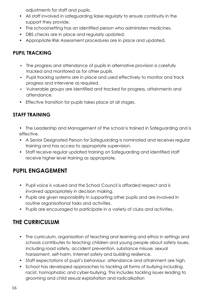adjustments for staff and pupils.

- All staff involved in safeguarding liaise regularly to ensure continuity in the support they provide.
- The school/setting has an identified person who administers medicines.
- DBS checks are in place and regularly updated.
- Appropriate Risk Assessment procedures are in place and updated.

## **PUPIL TRACKING**

- The progress and attendance of pupils in alternative provision is carefully tracked and monitored as for other pupils.
- Pupil tracking systems are in place and used effectively to monitor and track progress and intervene as required.
- Vulnerable groups are identified and tracked for progress, attainments and attendance.
- Effective transition for pupils takes place at all stages.

## **STAFF TRAINING**

- The Leadership and Management of the school is trained in Safeguarding and is effective.
- A Senior Designated Person for Safeguarding is nominated and receives regular training and has access to appropriate supervision.
- Staff receive regular updated training on Safeguarding and identified staff receive higher level training as appropriate.

## **PUPIL ENGAGEMENT**

- Pupil voice is valued and the School Council is afforded respect and is involved appropriately in decision making.
- Pupils are given responsibility in supporting other pupils and are involved in routine organisational tasks and activities.
- Pupils are encouraged to participate in a variety of clubs and activities.

## **THE CURRICULUM**

- The curriculum, organisation of teaching and learning and ethos in settings and schools contributes to teaching children and young people about safety issues, including road safety, accident prevention, substance misuse, sexual harassment, self-harm, Internet safety and building resilience.
- Staff expectations of pupil's behaviour, attendance and attainment are high.
- School has developed approaches to tackling all forms of bullying including, racist, homophobic and cyber-bullying. This includes tackling issues leading to grooming and child sexual exploitation and radicalisation